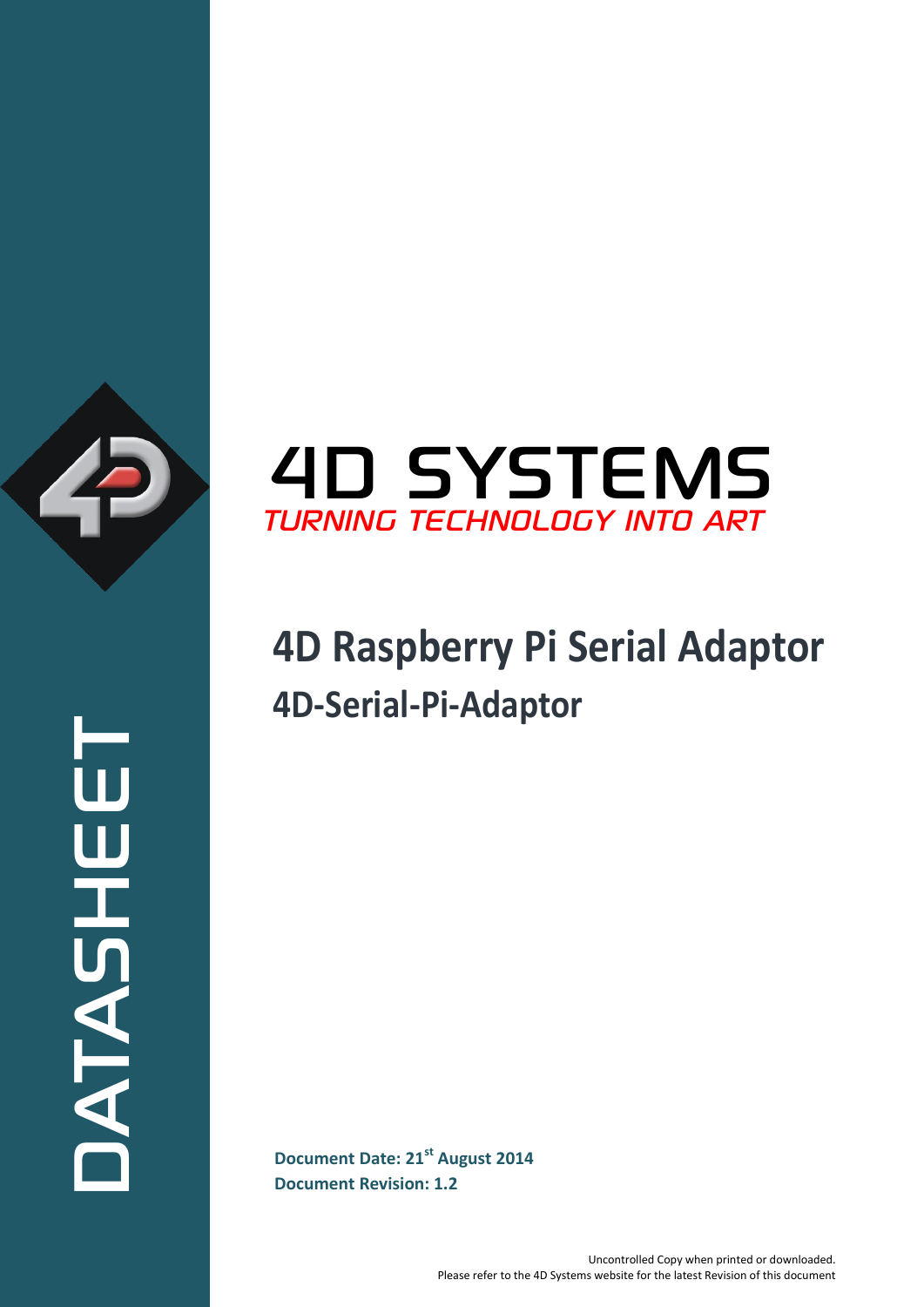

ATASHEET



# **4D Raspberry Pi Serial Adaptor 4D-Serial-Pi-Adaptor**

**Document Date: 21<sup>st</sup> August 2014 Document Revision: 1.2**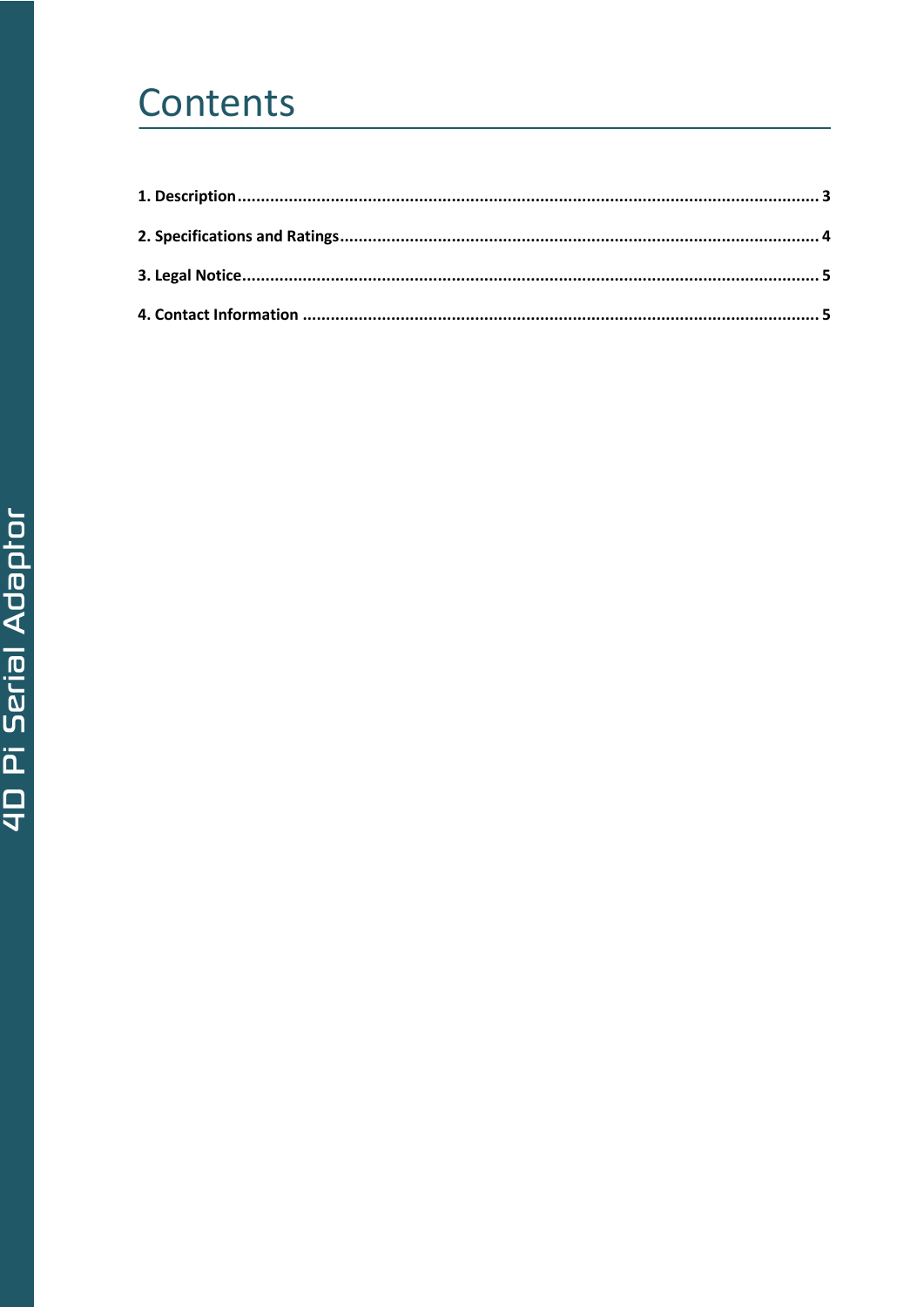## Contents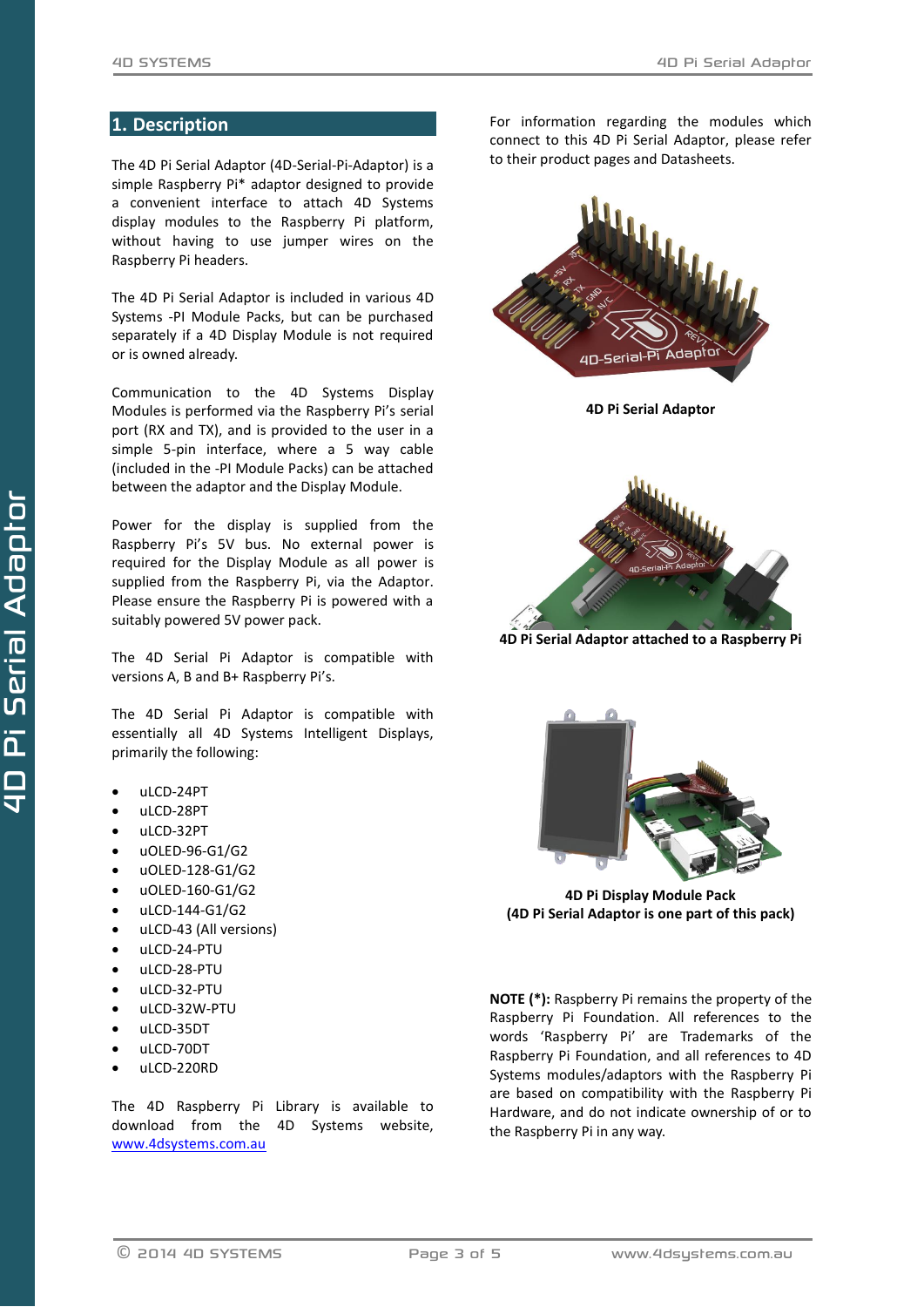### <span id="page-2-0"></span>**1. Description**

The 4D Pi Serial Adaptor (4D-Serial-Pi-Adaptor) is a simple Raspberry Pi\* adaptor designed to provide a convenient interface to attach 4D Systems display modules to the Raspberry Pi platform, without having to use jumper wires on the Raspberry Pi headers.

The 4D Pi Serial Adaptor is included in various 4D Systems -PI Module Packs, but can be purchased separately if a 4D Display Module is not required or is owned already.

Communication to the 4D Systems Display Modules is performed via the Raspberry Pi's serial port (RX and TX), and is provided to the user in a simple 5-pin interface, where a 5 way cable (included in the -PI Module Packs) can be attached between the adaptor and the Display Module.

Power for the display is supplied from the Raspberry Pi's 5V bus. No external power is required for the Display Module as all power is supplied from the Raspberry Pi, via the Adaptor. Please ensure the Raspberry Pi is powered with a suitably powered 5V power pack.

The 4D Serial Pi Adaptor is compatible with versions A, B and B+ Raspberry Pi's.

The 4D Serial Pi Adaptor is compatible with essentially all 4D Systems Intelligent Displays, primarily the following:

- uLCD-24PT
- uLCD-28PT
- uLCD-32PT
- $\bullet$  uOLED-96-G1/G2
- uOLED-128-G1/G2
- uOLED-160-G1/G2
- uLCD-144-G1/G2
- uLCD-43 (All versions)
- uLCD-24-PTU
- uLCD-28-PTU
- uLCD-32-PTU
- uLCD-32W-PTU
- uLCD-35DT
- uLCD-70DT
- 
- uLCD-220RD

The 4D Raspberry Pi Library is available to download from the 4D Systems website, [www.4dsystems.com.au](http://www.4dsystems.com.au/)

For information regarding the modules which connect to this 4D Pi Serial Adaptor, please refer to their product pages and Datasheets.



**4D Pi Serial Adaptor**



**4D Pi Serial Adaptor attached to a Raspberry Pi**



**4D Pi Display Module Pack (4D Pi Serial Adaptor is one part of this pack)**

**NOTE (\*):** Raspberry Pi remains the property of the Raspberry Pi Foundation. All references to the words 'Raspberry Pi' are Trademarks of the Raspberry Pi Foundation, and all references to 4D Systems modules/adaptors with the Raspberry Pi are based on compatibility with the Raspberry Pi Hardware, and do not indicate ownership of or to the Raspberry Pi in any way.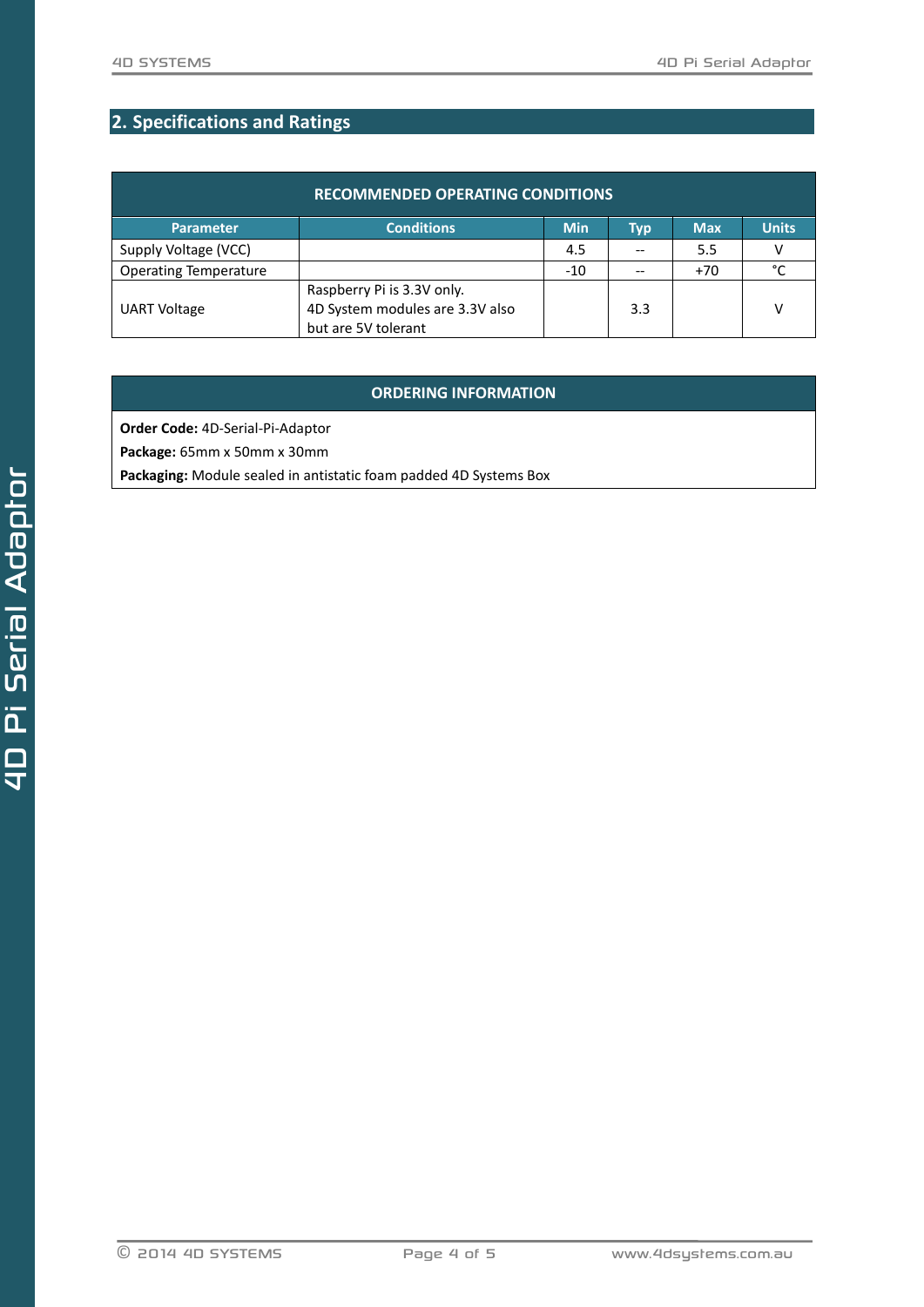## <span id="page-3-0"></span>**2. Specifications and Ratings**

| <b>RECOMMENDED OPERATING CONDITIONS</b> |                                 |            |     |            |              |  |
|-----------------------------------------|---------------------------------|------------|-----|------------|--------------|--|
| Parameter                               | <b>Conditions</b>               | <b>Min</b> | Typ | <b>Max</b> | <b>Units</b> |  |
| Supply Voltage (VCC)                    |                                 | 4.5        |     | 5.5        | v            |  |
| <b>Operating Temperature</b>            |                                 | $-10$      |     | $+70$      | °C           |  |
|                                         | Raspberry Pi is 3.3V only.      |            |     |            |              |  |
| <b>UART Voltage</b>                     | 4D System modules are 3.3V also |            | 3.3 |            | ٧            |  |
|                                         | but are 5V tolerant             |            |     |            |              |  |

## **ORDERING INFORMATION**

**Order Code:** 4D-Serial-Pi-Adaptor

**Package:** 65mm x 50mm x 30mm

**Packaging:** Module sealed in antistatic foam padded 4D Systems Box